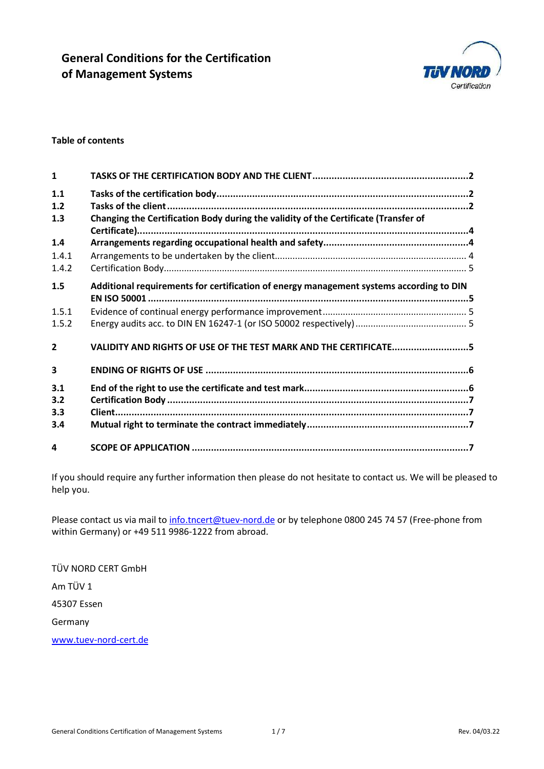

#### Table of contents

| $\mathbf{1}$            |                                                                                         |  |
|-------------------------|-----------------------------------------------------------------------------------------|--|
| 1.1<br>1.2              |                                                                                         |  |
| 1.3                     | Changing the Certification Body during the validity of the Certificate (Transfer of     |  |
| 1.4                     |                                                                                         |  |
| 1.4.1                   |                                                                                         |  |
| 1.4.2                   |                                                                                         |  |
| 1.5                     | Additional requirements for certification of energy management systems according to DIN |  |
| 1.5.1                   |                                                                                         |  |
| 1.5.2                   |                                                                                         |  |
| $\overline{2}$          | VALIDITY AND RIGHTS OF USE OF THE TEST MARK AND THE CERTIFICATE5                        |  |
| $\overline{\mathbf{3}}$ |                                                                                         |  |
| 3.1<br>3.2<br>3.3       |                                                                                         |  |
| 3.4                     |                                                                                         |  |
| 4                       |                                                                                         |  |

If you should require any further information then please do not hesitate to contact us. We will be pleased to help you.

Please contact us via mail to info.tncert@tuev-nord.de or by telephone 0800 245 74 57 (Free-phone from within Germany) or +49 511 9986-1222 from abroad.

TÜV NORD CERT GmbH Am TÜV 1 45307 Essen Germany

www.tuev-nord-cert.de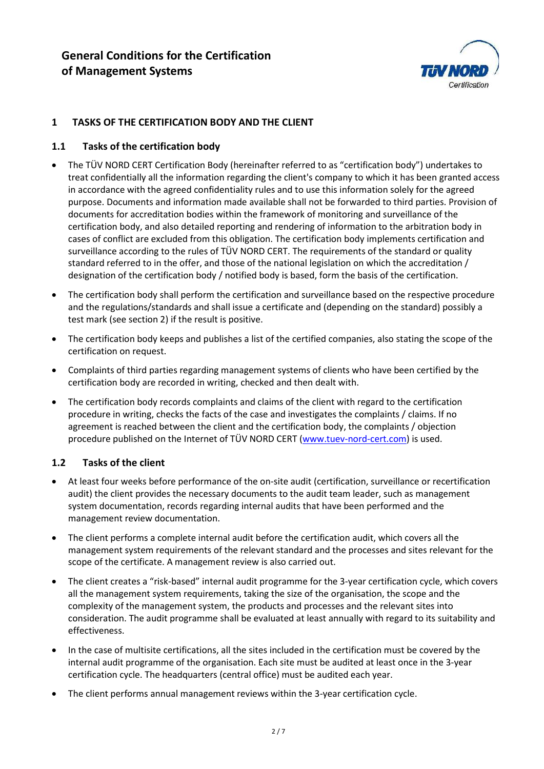

## 1 TASKS OF THE CERTIFICATION BODY AND THE CLIENT

## 1.1 Tasks of the certification body

- The TÜV NORD CERT Certification Body (hereinafter referred to as "certification body") undertakes to treat confidentially all the information regarding the client's company to which it has been granted access in accordance with the agreed confidentiality rules and to use this information solely for the agreed purpose. Documents and information made available shall not be forwarded to third parties. Provision of documents for accreditation bodies within the framework of monitoring and surveillance of the certification body, and also detailed reporting and rendering of information to the arbitration body in cases of conflict are excluded from this obligation. The certification body implements certification and surveillance according to the rules of TÜV NORD CERT. The requirements of the standard or quality standard referred to in the offer, and those of the national legislation on which the accreditation / designation of the certification body / notified body is based, form the basis of the certification.
- The certification body shall perform the certification and surveillance based on the respective procedure and the regulations/standards and shall issue a certificate and (depending on the standard) possibly a test mark (see section 2) if the result is positive.
- The certification body keeps and publishes a list of the certified companies, also stating the scope of the certification on request.
- Complaints of third parties regarding management systems of clients who have been certified by the certification body are recorded in writing, checked and then dealt with.
- The certification body records complaints and claims of the client with regard to the certification procedure in writing, checks the facts of the case and investigates the complaints / claims. If no agreement is reached between the client and the certification body, the complaints / objection procedure published on the Internet of TÜV NORD CERT (www.tuev-nord-cert.com) is used.

## 1.2 Tasks of the client

- At least four weeks before performance of the on-site audit (certification, surveillance or recertification audit) the client provides the necessary documents to the audit team leader, such as management system documentation, records regarding internal audits that have been performed and the management review documentation.
- The client performs a complete internal audit before the certification audit, which covers all the management system requirements of the relevant standard and the processes and sites relevant for the scope of the certificate. A management review is also carried out.
- The client creates a "risk-based" internal audit programme for the 3-year certification cycle, which covers all the management system requirements, taking the size of the organisation, the scope and the complexity of the management system, the products and processes and the relevant sites into consideration. The audit programme shall be evaluated at least annually with regard to its suitability and effectiveness.
- In the case of multisite certifications, all the sites included in the certification must be covered by the internal audit programme of the organisation. Each site must be audited at least once in the 3-year certification cycle. The headquarters (central office) must be audited each year.
- The client performs annual management reviews within the 3-year certification cycle.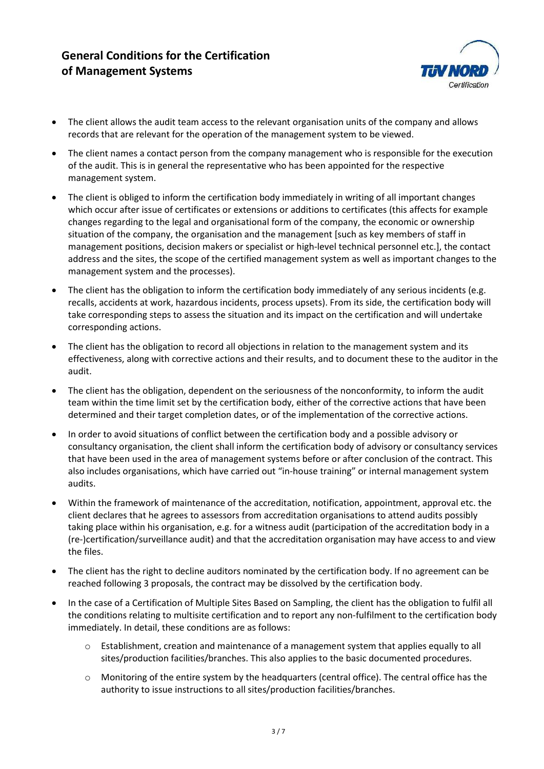

- The client allows the audit team access to the relevant organisation units of the company and allows records that are relevant for the operation of the management system to be viewed.
- The client names a contact person from the company management who is responsible for the execution of the audit. This is in general the representative who has been appointed for the respective management system.
- The client is obliged to inform the certification body immediately in writing of all important changes which occur after issue of certificates or extensions or additions to certificates (this affects for example changes regarding to the legal and organisational form of the company, the economic or ownership situation of the company, the organisation and the management [such as key members of staff in management positions, decision makers or specialist or high-level technical personnel etc.], the contact address and the sites, the scope of the certified management system as well as important changes to the management system and the processes).
- The client has the obligation to inform the certification body immediately of any serious incidents (e.g. recalls, accidents at work, hazardous incidents, process upsets). From its side, the certification body will take corresponding steps to assess the situation and its impact on the certification and will undertake corresponding actions.
- The client has the obligation to record all objections in relation to the management system and its effectiveness, along with corrective actions and their results, and to document these to the auditor in the audit.
- The client has the obligation, dependent on the seriousness of the nonconformity, to inform the audit team within the time limit set by the certification body, either of the corrective actions that have been determined and their target completion dates, or of the implementation of the corrective actions.
- In order to avoid situations of conflict between the certification body and a possible advisory or consultancy organisation, the client shall inform the certification body of advisory or consultancy services that have been used in the area of management systems before or after conclusion of the contract. This also includes organisations, which have carried out "in-house training" or internal management system audits.
- Within the framework of maintenance of the accreditation, notification, appointment, approval etc. the client declares that he agrees to assessors from accreditation organisations to attend audits possibly taking place within his organisation, e.g. for a witness audit (participation of the accreditation body in a (re-)certification/surveillance audit) and that the accreditation organisation may have access to and view the files.
- The client has the right to decline auditors nominated by the certification body. If no agreement can be reached following 3 proposals, the contract may be dissolved by the certification body.
- In the case of a Certification of Multiple Sites Based on Sampling, the client has the obligation to fulfil all the conditions relating to multisite certification and to report any non-fulfilment to the certification body immediately. In detail, these conditions are as follows:
	- o Establishment, creation and maintenance of a management system that applies equally to all sites/production facilities/branches. This also applies to the basic documented procedures.
	- o Monitoring of the entire system by the headquarters (central office). The central office has the authority to issue instructions to all sites/production facilities/branches.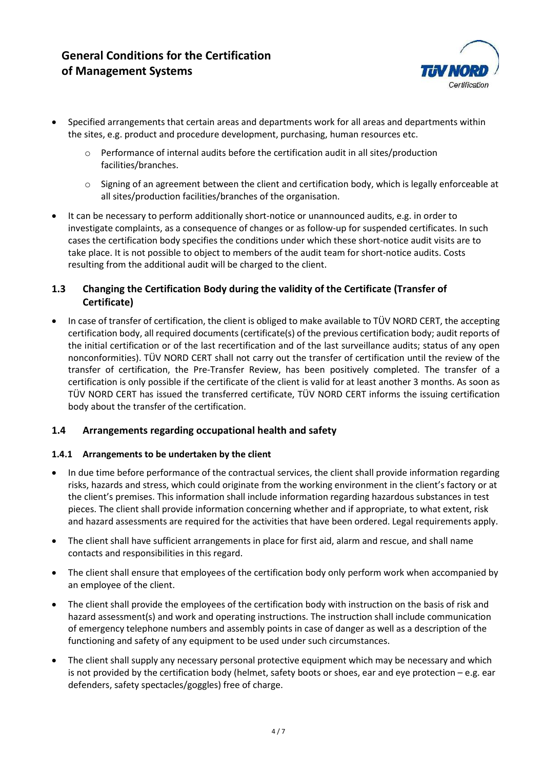

- Specified arrangements that certain areas and departments work for all areas and departments within the sites, e.g. product and procedure development, purchasing, human resources etc.
	- o Performance of internal audits before the certification audit in all sites/production facilities/branches.
	- o Signing of an agreement between the client and certification body, which is legally enforceable at all sites/production facilities/branches of the organisation.
- It can be necessary to perform additionally short-notice or unannounced audits, e.g. in order to investigate complaints, as a consequence of changes or as follow-up for suspended certificates. In such cases the certification body specifies the conditions under which these short-notice audit visits are to take place. It is not possible to object to members of the audit team for short-notice audits. Costs resulting from the additional audit will be charged to the client.

## 1.3 Changing the Certification Body during the validity of the Certificate (Transfer of Certificate)

 In case of transfer of certification, the client is obliged to make available to TÜV NORD CERT, the accepting certification body, all required documents (certificate(s) of the previous certification body; audit reports of the initial certification or of the last recertification and of the last surveillance audits; status of any open nonconformities). TÜV NORD CERT shall not carry out the transfer of certification until the review of the transfer of certification, the Pre-Transfer Review, has been positively completed. The transfer of a certification is only possible if the certificate of the client is valid for at least another 3 months. As soon as TÜV NORD CERT has issued the transferred certificate, TÜV NORD CERT informs the issuing certification body about the transfer of the certification.

# 1.4 Arrangements regarding occupational health and safety

## 1.4.1 Arrangements to be undertaken by the client

- In due time before performance of the contractual services, the client shall provide information regarding risks, hazards and stress, which could originate from the working environment in the client's factory or at the client's premises. This information shall include information regarding hazardous substances in test pieces. The client shall provide information concerning whether and if appropriate, to what extent, risk and hazard assessments are required for the activities that have been ordered. Legal requirements apply.
- The client shall have sufficient arrangements in place for first aid, alarm and rescue, and shall name contacts and responsibilities in this regard.
- The client shall ensure that employees of the certification body only perform work when accompanied by an employee of the client.
- The client shall provide the employees of the certification body with instruction on the basis of risk and hazard assessment(s) and work and operating instructions. The instruction shall include communication of emergency telephone numbers and assembly points in case of danger as well as a description of the functioning and safety of any equipment to be used under such circumstances.
- The client shall supply any necessary personal protective equipment which may be necessary and which is not provided by the certification body (helmet, safety boots or shoes, ear and eye protection – e.g. ear defenders, safety spectacles/goggles) free of charge.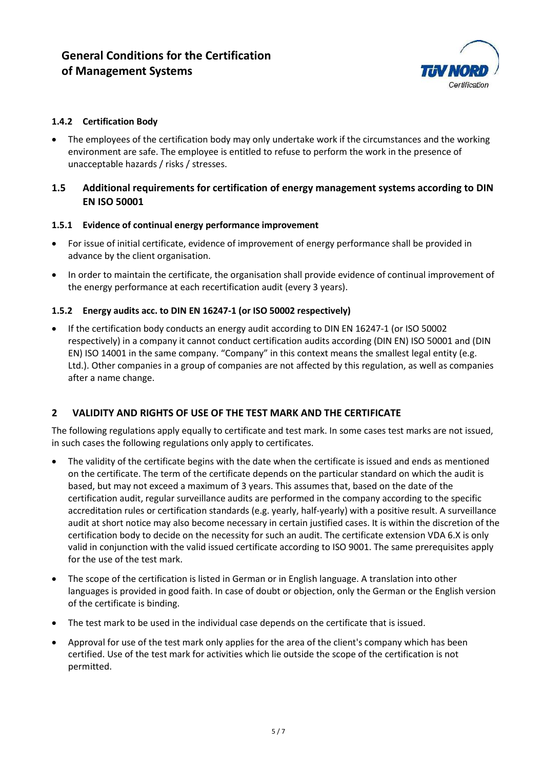

## 1.4.2 Certification Body

• The employees of the certification body may only undertake work if the circumstances and the working environment are safe. The employee is entitled to refuse to perform the work in the presence of unacceptable hazards / risks / stresses.

## 1.5 Additional requirements for certification of energy management systems according to DIN EN ISO 50001

#### 1.5.1 Evidence of continual energy performance improvement

- For issue of initial certificate, evidence of improvement of energy performance shall be provided in advance by the client organisation.
- In order to maintain the certificate, the organisation shall provide evidence of continual improvement of the energy performance at each recertification audit (every 3 years).

#### 1.5.2 Energy audits acc. to DIN EN 16247-1 (or ISO 50002 respectively)

 If the certification body conducts an energy audit according to DIN EN 16247-1 (or ISO 50002 respectively) in a company it cannot conduct certification audits according (DIN EN) ISO 50001 and (DIN EN) ISO 14001 in the same company. "Company" in this context means the smallest legal entity (e.g. Ltd.). Other companies in a group of companies are not affected by this regulation, as well as companies after a name change.

## 2 VALIDITY AND RIGHTS OF USE OF THE TEST MARK AND THE CERTIFICATE

The following regulations apply equally to certificate and test mark. In some cases test marks are not issued, in such cases the following regulations only apply to certificates.

- The validity of the certificate begins with the date when the certificate is issued and ends as mentioned on the certificate. The term of the certificate depends on the particular standard on which the audit is based, but may not exceed a maximum of 3 years. This assumes that, based on the date of the certification audit, regular surveillance audits are performed in the company according to the specific accreditation rules or certification standards (e.g. yearly, half-yearly) with a positive result. A surveillance audit at short notice may also become necessary in certain justified cases. It is within the discretion of the certification body to decide on the necessity for such an audit. The certificate extension VDA 6.X is only valid in conjunction with the valid issued certificate according to ISO 9001. The same prerequisites apply for the use of the test mark.
- The scope of the certification is listed in German or in English language. A translation into other languages is provided in good faith. In case of doubt or objection, only the German or the English version of the certificate is binding.
- The test mark to be used in the individual case depends on the certificate that is issued.
- Approval for use of the test mark only applies for the area of the client's company which has been certified. Use of the test mark for activities which lie outside the scope of the certification is not permitted.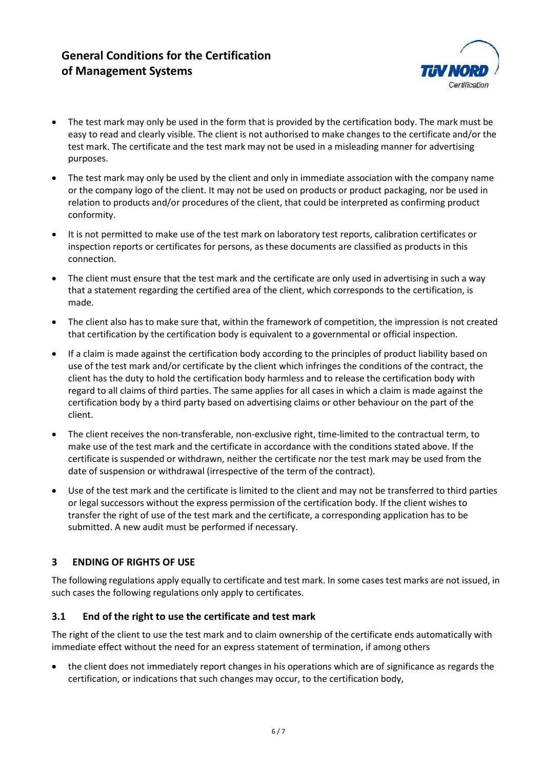

- The test mark may only be used in the form that is provided by the certification body. The mark must be easy to read and clearly visible. The client is not authorised to make changes to the certificate and/or the test mark. The certificate and the test mark may not be used in a misleading manner for advertising purposes.
- The test mark may only be used by the client and only in immediate association with the company name or the company logo of the client. It may not be used on products or product packaging, nor be used in relation to products and/or procedures of the client, that could be interpreted as confirming product conformity.
- It is not permitted to make use of the test mark on laboratory test reports, calibration certificates or inspection reports or certificates for persons, as these documents are classified as products in this connection.
- The client must ensure that the test mark and the certificate are only used in advertising in such a way that a statement regarding the certified area of the client, which corresponds to the certification, is made.
- The client also has to make sure that, within the framework of competition, the impression is not created that certification by the certification body is equivalent to a governmental or official inspection.
- If a claim is made against the certification body according to the principles of product liability based on use of the test mark and/or certificate by the client which infringes the conditions of the contract, the client has the duty to hold the certification body harmless and to release the certification body with regard to all claims of third parties. The same applies for all cases in which a claim is made against the certification body by a third party based on advertising claims or other behaviour on the part of the client.
- The client receives the non-transferable, non-exclusive right, time-limited to the contractual term, to make use of the test mark and the certificate in accordance with the conditions stated above. If the certificate is suspended or withdrawn, neither the certificate nor the test mark may be used from the date of suspension or withdrawal (irrespective of the term of the contract).
- Use of the test mark and the certificate is limited to the client and may not be transferred to third parties or legal successors without the express permission of the certification body. If the client wishes to transfer the right of use of the test mark and the certificate, a corresponding application has to be submitted. A new audit must be performed if necessary.

# 3 ENDING OF RIGHTS OF USE

The following regulations apply equally to certificate and test mark. In some cases test marks are not issued, in such cases the following regulations only apply to certificates.

# 3.1 End of the right to use the certificate and test mark

The right of the client to use the test mark and to claim ownership of the certificate ends automatically with immediate effect without the need for an express statement of termination, if among others

 the client does not immediately report changes in his operations which are of significance as regards the certification, or indications that such changes may occur, to the certification body,